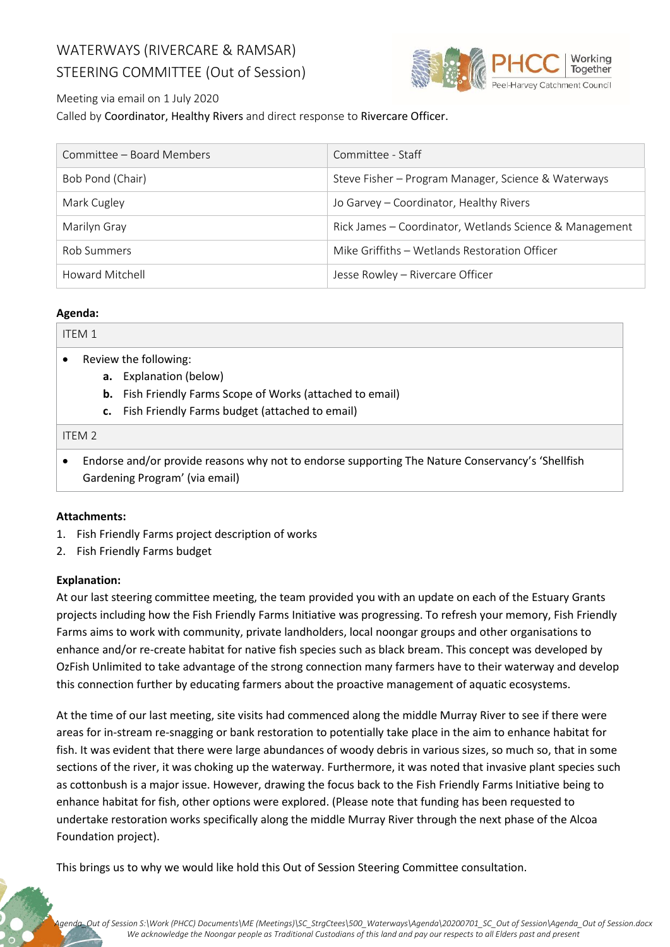## WATERWAYS (RIVERCARE & RAMSAR) STEERING COMMITTEE (Out of Session)



## Meeting via email on 1 July 2020

Called by Coordinator, Healthy Rivers and direct response to Rivercare Officer.

| Committee – Board Members | Committee - Staff                                       |
|---------------------------|---------------------------------------------------------|
| Bob Pond (Chair)          | Steve Fisher - Program Manager, Science & Waterways     |
| Mark Cugley               | Jo Garvey - Coordinator, Healthy Rivers                 |
| Marilyn Gray              | Rick James - Coordinator, Wetlands Science & Management |
| Rob Summers               | Mike Griffiths - Wetlands Restoration Officer           |
| Howard Mitchell           | Jesse Rowley - Rivercare Officer                        |

### **Agenda:**

| <b>ITEM1</b>      |                       |                                                                                                  |  |
|-------------------|-----------------------|--------------------------------------------------------------------------------------------------|--|
| $\bullet$         | Review the following: |                                                                                                  |  |
|                   | а.                    | Explanation (below)                                                                              |  |
|                   | b.                    | Fish Friendly Farms Scope of Works (attached to email)                                           |  |
|                   | c.                    | Fish Friendly Farms budget (attached to email)                                                   |  |
| ITEM <sub>2</sub> |                       |                                                                                                  |  |
| $\bullet$         |                       | Endorse and/or provide reasons why not to endorse supporting The Nature Conservancy's 'Shellfish |  |

# Gardening Program' (via email)

### **Attachments:**

- 1. Fish Friendly Farms project description of works
- 2. Fish Friendly Farms budget

### **Explanation:**

At our last steering committee meeting, the team provided you with an update on each of the Estuary Grants projects including how the Fish Friendly Farms Initiative was progressing. To refresh your memory, Fish Friendly Farms aims to work with community, private landholders, local noongar groups and other organisations to enhance and/or re-create habitat for native fish species such as black bream. This concept was developed by OzFish Unlimited to take advantage of the strong connection many farmers have to their waterway and develop this connection further by educating farmers about the proactive management of aquatic ecosystems.

At the time of our last meeting, site visits had commenced along the middle Murray River to see if there were areas for in-stream re-snagging or bank restoration to potentially take place in the aim to enhance habitat for fish. It was evident that there were large abundances of woody debris in various sizes, so much so, that in some sections of the river, it was choking up the waterway. Furthermore, it was noted that invasive plant species such as cottonbush is a major issue. However, drawing the focus back to the Fish Friendly Farms Initiative being to enhance habitat for fish, other options were explored. (Please note that funding has been requested to undertake restoration works specifically along the middle Murray River through the next phase of the Alcoa Foundation project).

This brings us to why we would like hold this Out of Session Steering Committee consultation.